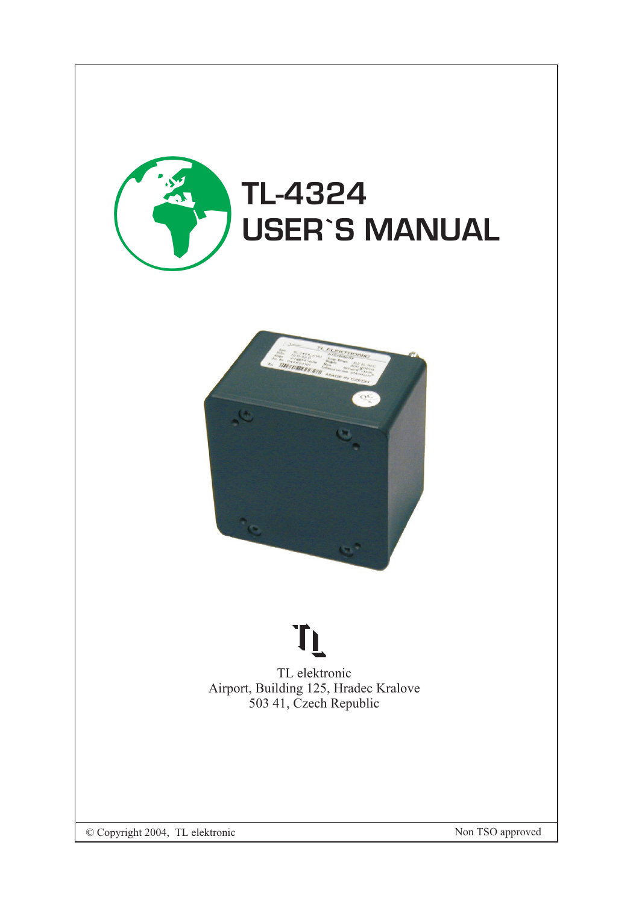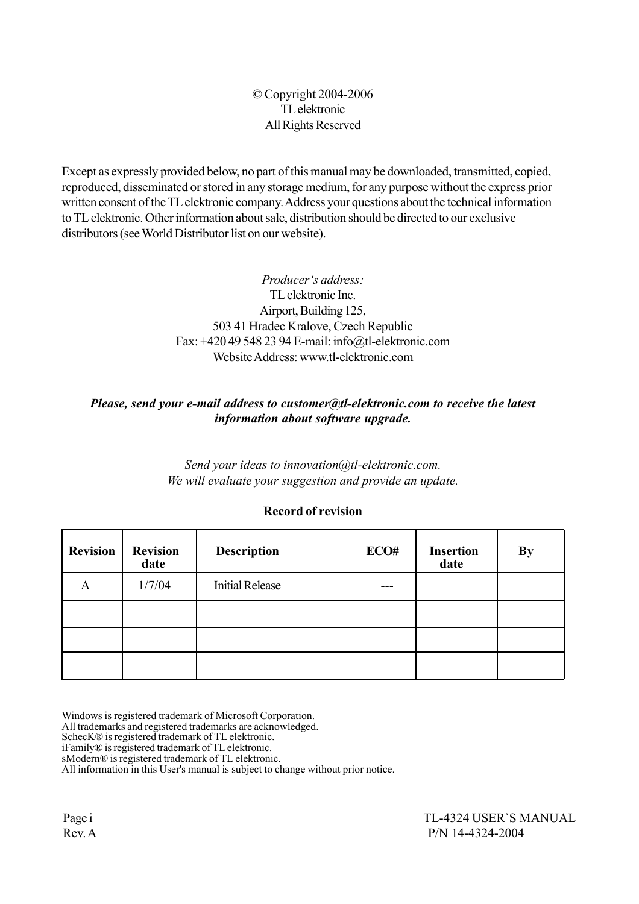#### © Copyright 2004-2006 TL elektronic All Rights Reserved

Except as expressly provided below, no part of this manual may be downloaded, transmitted, copied, reproduced, disseminated or stored in any storage medium, for any purpose without the express prior written consent of the TL elektronic company. Address your questions about the technical information to TL elektronic. Other information about sale, distribution should be directed to our exclusive distributors (see World Distributor list on our website).

> Producer's address: TL elektronic Inc. Airport, Building 125, 503 41 Hradec Kralove, Czech Republic Fax: +420 49 548 23 94 E-mail: info@tl-elektronic.com Website Address: www.tl-elektronic.com

### Please, send your e-mail address to customer@tl-elektronic.com to receive the latest information about software upgrade.

Send your ideas to innovation@tl-elektronic.com. We will evaluate your suggestion and provide an update.

| <b>Revision</b> | <b>Revision</b><br>date | <b>Description</b>     | ECO# | <b>Insertion</b><br>date | <b>By</b> |
|-----------------|-------------------------|------------------------|------|--------------------------|-----------|
| А               | 1/7/04                  | <b>Initial Release</b> |      |                          |           |
|                 |                         |                        |      |                          |           |
|                 |                         |                        |      |                          |           |
|                 |                         |                        |      |                          |           |

#### Record of revision

Windows is registered trademark of Microsoft Corporation.

All trademarks and registered trademarks are acknowledged.

SchecK® is registered trademark of TL elektronic.

iFamilyÆ is registered trademark of TL elektronic.

sModern® is registered trademark of TL elektronic.

All information in this User's manual is subject to change without prior notice.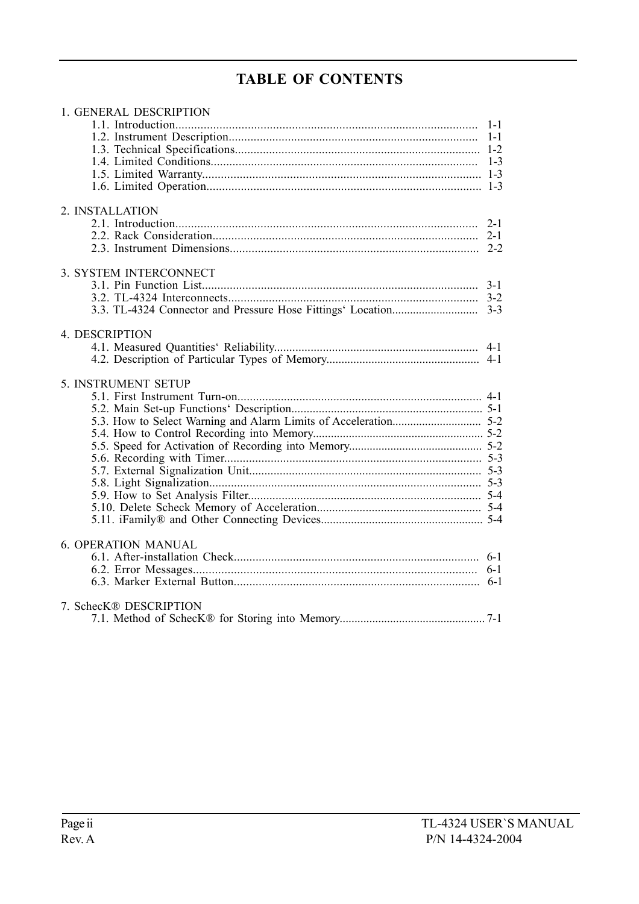# TABLE OF CONTENTS

| 1. GENERAL DESCRIPTION     |         |
|----------------------------|---------|
|                            | $1 - 1$ |
|                            |         |
|                            |         |
|                            |         |
|                            |         |
|                            |         |
| 2. INSTALLATION            |         |
|                            |         |
|                            |         |
|                            |         |
| 3. SYSTEM INTERCONNECT     |         |
|                            |         |
|                            |         |
|                            |         |
| 4. DESCRIPTION             |         |
|                            |         |
|                            |         |
| 5. INSTRUMENT SETUP        |         |
|                            |         |
|                            |         |
|                            |         |
|                            |         |
|                            |         |
|                            |         |
|                            |         |
|                            |         |
|                            |         |
|                            |         |
|                            |         |
| <b>6. OPERATION MANUAL</b> |         |
|                            |         |
|                            |         |
|                            |         |
| 7. SchecK® DESCRIPTION     |         |
|                            |         |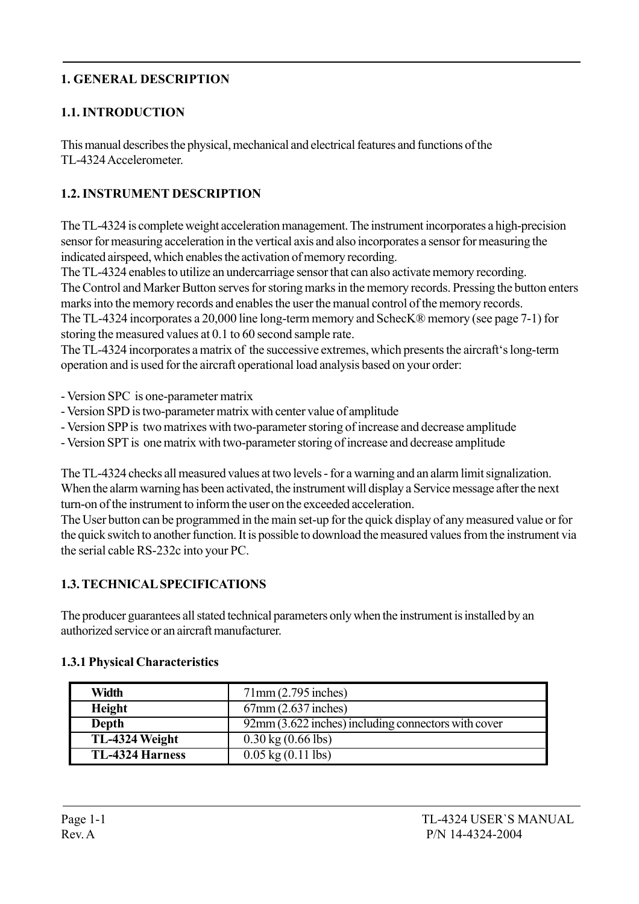## 1. GENERAL DESCRIPTION

## 1.1. INTRODUCTION

This manual describes the physical, mechanical and electrical features and functions of the TL-4324 Accelerometer.

## 1.2. INSTRUMENT DESCRIPTION

The TL-4324 is complete weight acceleration management. The instrument incorporates a high-precision sensor for measuring acceleration in the vertical axis and also incorporates a sensor for measuring the indicated airspeed, which enables the activation of memory recording.

The TL-4324 enables to utilize an undercarriage sensor that can also activate memory recording. The Control and Marker Button serves for storing marks in the memory records. Pressing the button enters marks into the memory records and enables the user the manual control of the memory records.

The TL-4324 incorporates a 20,000 line long-term memory and SchecKÆ memory (see page 7-1) for storing the measured values at 0.1 to 60 second sample rate.

The TL-4324 incorporates a matrix of the successive extremes, which presents the aircraft's long-term operation and is used for the aircraft operational load analysis based on your order:

- Version SPC is one-parameter matrix
- Version SPD is two-parameter matrix with center value of amplitude
- Version SPP is two matrixes with two-parameter storing of increase and decrease amplitude
- Version SPT is one matrix with two-parameter storing of increase and decrease amplitude

The TL-4324 checks all measured values at two levels - for a warning and an alarm limit signalization. When the alarm warning has been activated, the instrument will display a Service message after the next turn-on of the instrument to inform the user on the exceeded acceleration.

The User button can be programmed in the main set-up for the quick display of any measured value or for the quick switch to another function. It is possible to download the measured values from the instrument via the serial cable RS-232c into your PC.

## 1.3. TECHNICAL SPECIFICATIONS

The producer guarantees all stated technical parameters only when the instrument is installed by an authorized service or an aircraft manufacturer.

| <b>Width</b>           | 71mm(2.795 inches)                                            |
|------------------------|---------------------------------------------------------------|
| Height                 | $67$ mm $(2.637$ inches)                                      |
| Depth                  | $\sqrt{92}$ mm (3.622 inches) including connectors with cover |
| TL-4324 Weight         | $0.30 \text{ kg} (0.66 \text{ lbs})$                          |
| <b>TL-4324 Harness</b> | $0.05 \text{ kg} (0.11 \text{ lbs})$                          |

## 1.3.1 Physical Characteristics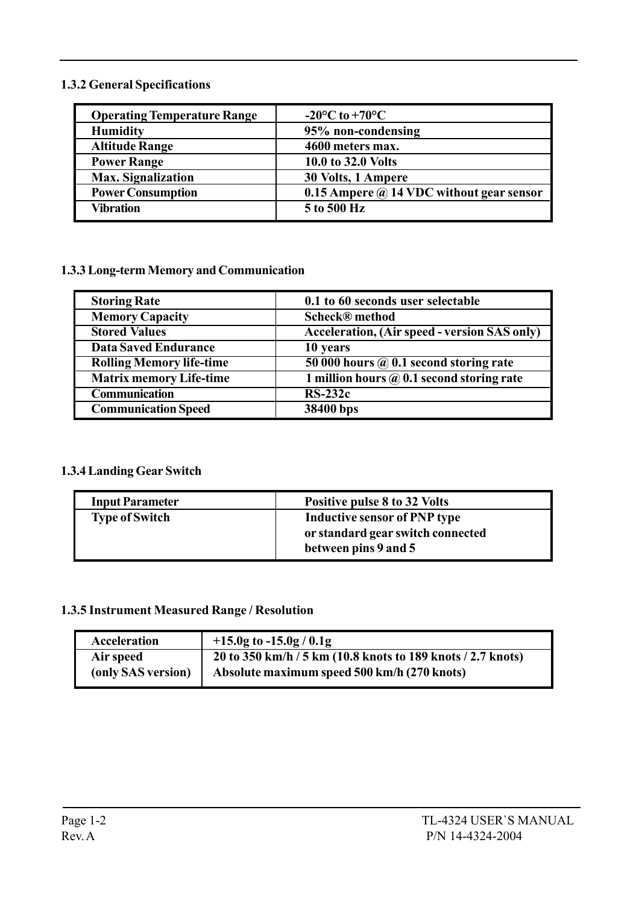#### 1.3.2 General Specifications

| <b>Operating Temperature Range</b> | $-20^{\circ}$ C to $+70^{\circ}$ C              |
|------------------------------------|-------------------------------------------------|
| <b>Humidity</b>                    | 95% non-condensing                              |
| <b>Altitude Range</b>              | 4600 meters max.                                |
| <b>Power Range</b>                 | 10.0 to 32.0 Volts                              |
| <b>Max.</b> Signalization          | 30 Volts, 1 Ampere                              |
| <b>Power Consumption</b>           | 0.15 Ampere $\omega$ 14 VDC without gear sensor |
| Vibration                          | 5 to 500 Hz                                     |
|                                    |                                                 |

#### 1.3.3 Long-term Memory and Communication

| <b>Storing Rate</b>             | 0.1 to 60 seconds user selectable                   |
|---------------------------------|-----------------------------------------------------|
| <b>Memory Capacity</b>          | <b>Scheck®</b> method                               |
| <b>Stored Values</b>            | <b>Acceleration, (Air speed - version SAS only)</b> |
| <b>Data Saved Endurance</b>     | 10 years                                            |
| <b>Rolling Memory life-time</b> | 50 000 hours $\omega$ 0.1 second storing rate       |
| <b>Matrix memory Life-time</b>  | 1 million hours $\omega$ 0.1 second storing rate    |
| <b>Communication</b>            | $RS-232c$                                           |
| <b>Communication Speed</b>      | 38400 bps                                           |

## 1.3.4 Landing Gear Switch

| <b>Input Parameter</b> | Positive pulse 8 to 32 Volts                                                                     |
|------------------------|--------------------------------------------------------------------------------------------------|
| <b>Type of Switch</b>  | <b>Inductive sensor of PNP type</b><br>or standard gear switch connected<br>between pins 9 and 5 |

#### 1.3.5 Instrument Measured Range / Resolution

| Acceleration       | $+15.0g$ to $-15.0g / 0.1g$                                 |
|--------------------|-------------------------------------------------------------|
| Air speed          | 20 to 350 km/h / 5 km (10.8 knots to 189 knots / 2.7 knots) |
| (only SAS version) | Absolute maximum speed 500 km/h (270 knots)                 |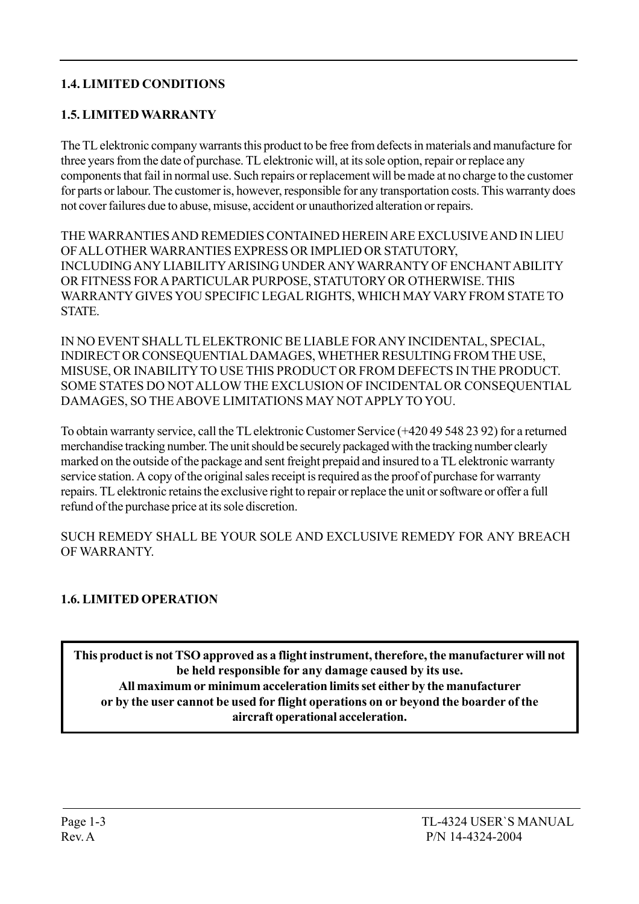### 1.4. LIMITED CONDITIONS

### 1.5. LIMITED WARRANTY

The TL elektronic company warrants this product to be free from defects in materials and manufacture for three years from the date of purchase. TL elektronic will, at its sole option, repair or replace any components that fail in normal use. Such repairs or replacement will be made at no charge to the customer for parts or labour. The customer is, however, responsible for any transportation costs. This warranty does not cover failures due to abuse, misuse, accident or unauthorized alteration or repairs.

THE WARRANTIES AND REMEDIES CONTAINED HEREIN ARE EXCLUSIVE AND IN LIEU OF ALL OTHER WARRANTIES EXPRESS OR IMPLIED OR STATUTORY, INCLUDING ANY LIABILITY ARISING UNDER ANY WARRANTY OF ENCHANT ABILITY OR FITNESS FOR A PARTICULAR PURPOSE, STATUTORY OR OTHERWISE. THIS WARRANTY GIVES YOU SPECIFIC LEGAL RIGHTS, WHICH MAY VARY FROM STATE TO **STATE** 

IN NO EVENT SHALL TL ELEKTRONIC BE LIABLE FOR ANY INCIDENTAL, SPECIAL, INDIRECT OR CONSEQUENTIAL DAMAGES, WHETHER RESULTING FROM THE USE, MISUSE, OR INABILITY TO USE THIS PRODUCT OR FROM DEFECTS IN THE PRODUCT. SOME STATES DO NOT ALLOW THE EXCLUSION OF INCIDENTAL OR CONSEQUENTIAL DAMAGES, SO THE ABOVE LIMITATIONS MAY NOT APPLY TO YOU.

To obtain warranty service, call the TL elektronic Customer Service (+420 49 548 23 92) for a returned merchandise tracking number. The unit should be securely packaged with the tracking number clearly marked on the outside of the package and sent freight prepaid and insured to a TL elektronic warranty service station. A copy of the original sales receipt is required as the proof of purchase for warranty repairs. TL elektronic retains the exclusive right to repair or replace the unit or software or offer a full refund of the purchase price at its sole discretion.

SUCH REMEDY SHALL BE YOUR SOLE AND EXCLUSIVE REMEDY FOR ANY BREACH OF WARRANTY.

## 1.6. LIMITED OPERATION

This product is not TSO approved as a flight instrument, therefore, the manufacturer will not be held responsible for any damage caused by its use. All maximum or minimum acceleration limits set either by the manufacturer or by the user cannot be used for flight operations on or beyond the boarder of the aircraft operational acceleration.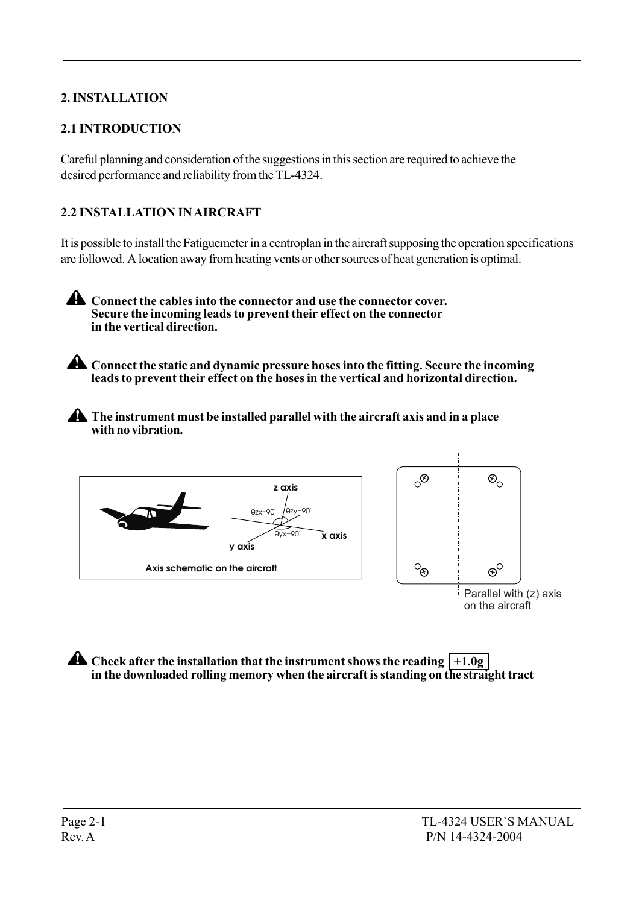## 2. INSTALLATION

## 2.1 INTRODUCTION

Careful planning and consideration of the suggestions in this section are required to achieve the desired performance and reliability from the TL-4324.

## 2.2 INSTALLATION IN AIRCRAFT

It is possible to install the Fatiguemeter in a centroplan in the aircraft supposing the operation specifications are followed. A location away from heating vents or other sources of heat generation is optimal.

**A** Connect the cables into the connector and use the connector cover. Secure the incoming leads to prevent their effect on the connector in the vertical direction.

Connect the static and dynamic pressure hoses into the fitting. Secure the incoming leads to prevent their effect on the hoses in the vertical and horizontal direction.

**A** The instrument must be installed parallel with the aircraft axis and in a place with no vibration.



 $\triangle$  Check after the installation that the instrument shows the reading  $|+1.0$ g in the downloaded rolling memory when the aircraft is standing on the straight tract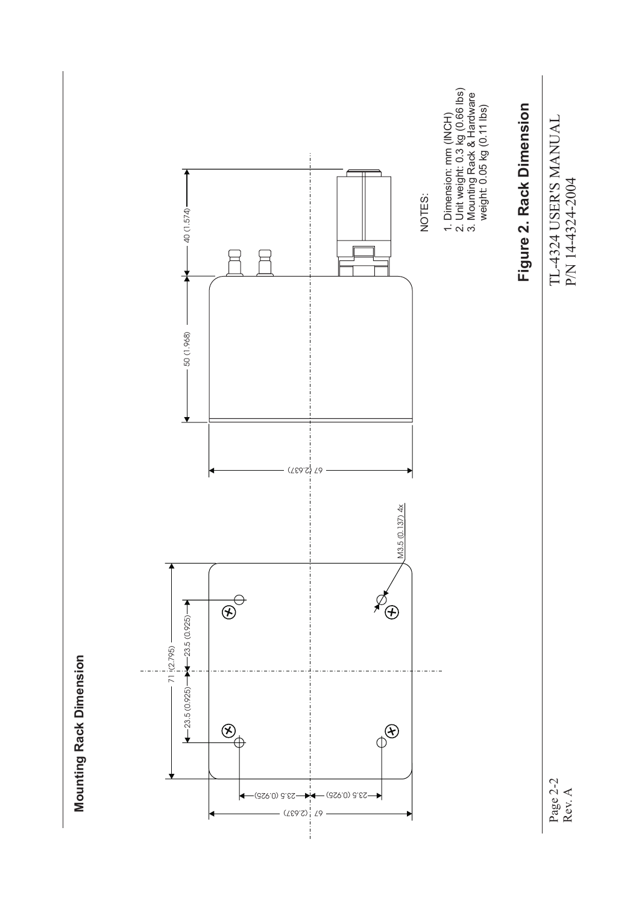

**Mounting Rack Dimension Mounting Rack Dimension**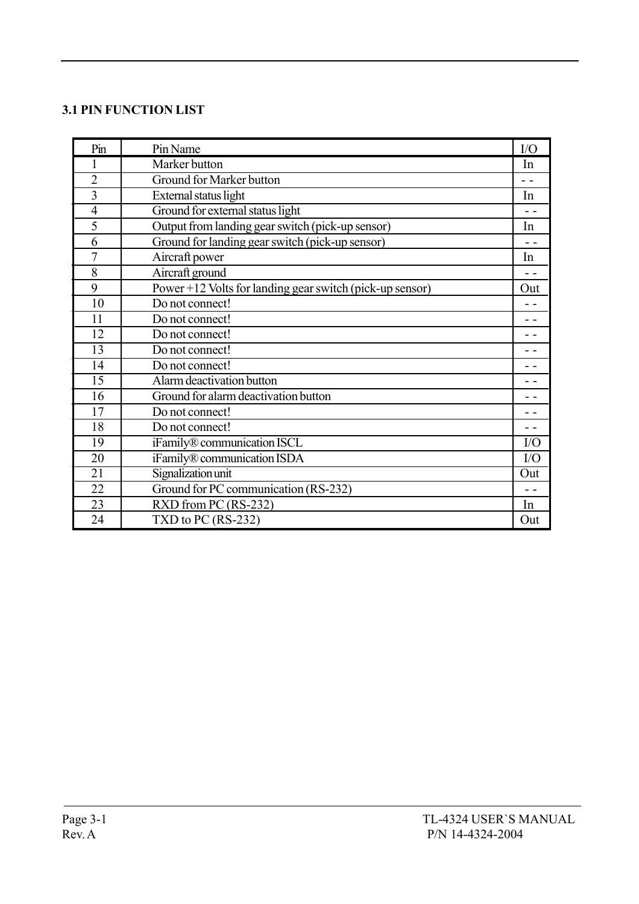### 3.1 PIN FUNCTION LIST

| Pin            | Pin Name                                                 | I/O           |
|----------------|----------------------------------------------------------|---------------|
| 1              | Marker button                                            | In            |
| $\overline{2}$ | <b>Ground for Marker button</b>                          | - -           |
| $\overline{3}$ | External status light                                    | In            |
| $\overline{4}$ | Ground for external status light                         | $\sim$ $\sim$ |
| 5              | Output from landing gear switch (pick-up sensor)         | In            |
| 6              | Ground for landing gear switch (pick-up sensor)          | $\sim$ $\sim$ |
| $\overline{7}$ | Aircraft power                                           | In            |
| 8              | Aircraft ground                                          |               |
| 9              | Power +12 Volts for landing gear switch (pick-up sensor) | Out           |
| 10             | Do not connect!                                          |               |
| 11             | Do not connect!                                          | $ -$          |
| 12             | Do not connect!                                          |               |
| 13             | Do not connect!                                          |               |
| 14             | Do not connect!                                          |               |
| 15             | Alarm deactivation button                                |               |
| 16             | Ground for alarm deactivation button                     |               |
| 17             | Do not connect!                                          |               |
| 18             | Do not connect!                                          |               |
| 19             | iFamily® communication ISCL                              | I/O           |
| 20             | iFamily® communication ISDA                              | $IO$          |
| 21             | Signalization unit                                       | Out           |
| 22             | Ground for PC communication (RS-232)                     | - -           |
| 23             | RXD from PC (RS-232)                                     | In            |
| 24             | TXD to PC $(RS-232)$                                     | Out           |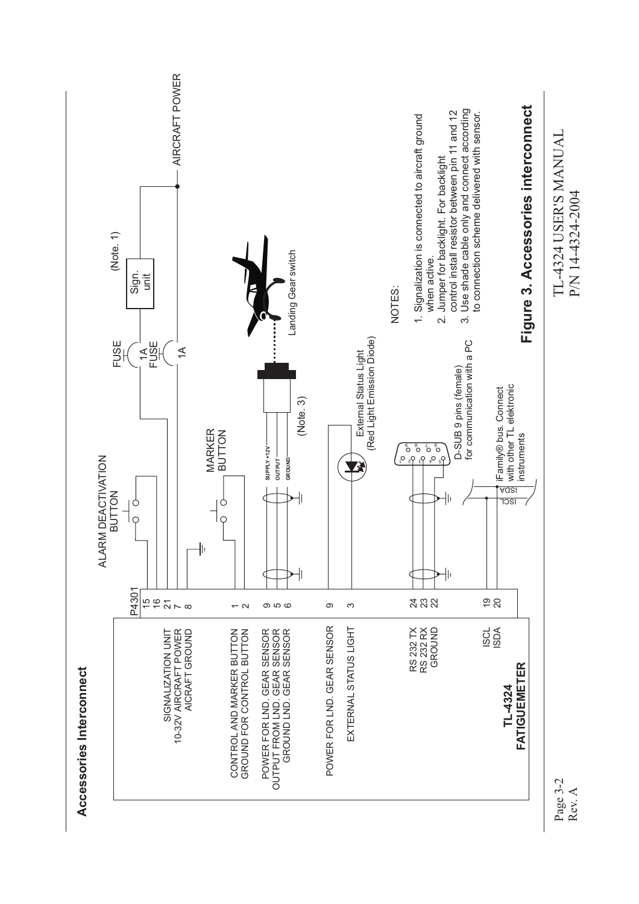

Page 3-2 Rev. A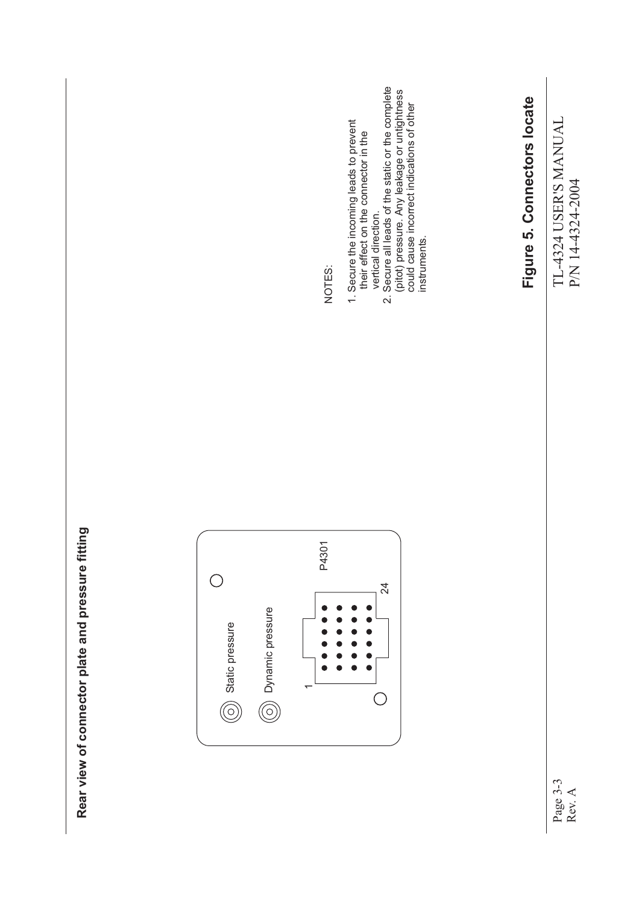Rear view of connector plate and pressure fitting **Rear view of connector plate and pressure fitting**



NOTES:

- 1. Secure the incoming leads to prevent<br>their effect on the connector in the 1. Secure the incoming leads to prevent their effect on the connector in the vertical direction.
- vertical direction.<br>2. Secure all leads of the static or the complete<br>(pitot) pressure. Any leakage or untightness<br>could cause incorrect indications of other<br>instruments. 2. Secure all leads of the static or the complete (pitot) pressure. Any leakage or untightness could cause incorrect indications of other instruments.

Figure 5. Connectors locate **Figure 5. Connectors locate**

TL-4324 USER'S MANUAL

TL-4324 USER'S MANUAL

P/N 14-4324-2004

P/N 14-4324-2004

Page 3-3 Rev. A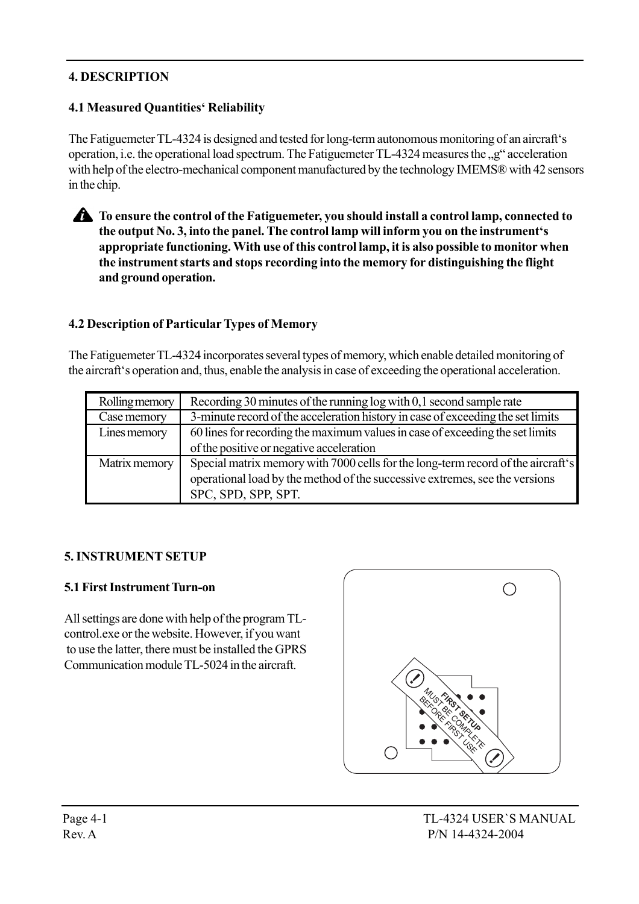## 4. DESCRIPTION

## 4.1 Measured Quantities' Reliability

The Fatiguemeter TL-4324 is designed and tested for long-term autonomous monitoring of an aircraft's operation, i.e. the operational load spectrum. The Fatiguemeter TL-4324 measures the <sub>1,9</sub><sup>\*</sup> acceleration with help of the electro-mechanical component manufactured by the technology IMEMS® with 42 sensors in the chip.

#### To ensure the control of the Fatiguemeter, you should install a control lamp, connected to the output No. 3, into the panel. The control lamp will inform you on the instrument's appropriate functioning. With use of this control lamp, it is also possible to monitor when the instrument starts and stops recording into the memory for distinguishing the flight and ground operation.

### 4.2 Description of Particular Types of Memory

The Fatiguemeter TL-4324 incorporates several types of memory, which enable detailed monitoring of the aircraft's operation and, thus, enable the analysis in case of exceeding the operational acceleration.

| Rolling memory | Recording 30 minutes of the running log with 0,1 second sample rate              |
|----------------|----------------------------------------------------------------------------------|
| Case memory    | 3-minute record of the acceleration history in case of exceeding the set limits  |
| Lines memory   | 60 lines for recording the maximum values in case of exceeding the set limits    |
|                | of the positive or negative acceleration                                         |
| Matrix memory  | Special matrix memory with 7000 cells for the long-term record of the aircraft's |
|                | operational load by the method of the successive extremes, see the versions      |
|                | SPC, SPD, SPP, SPT.                                                              |

#### 5. INSTRUMENT SETUP

#### 5.1 First Instrument Turn-on

All settings are done with help of the program TLcontrol.exe or the website. However, if you want to use the latter, there must be installed the GPRS Communication module TL-5024 in the aircraft.

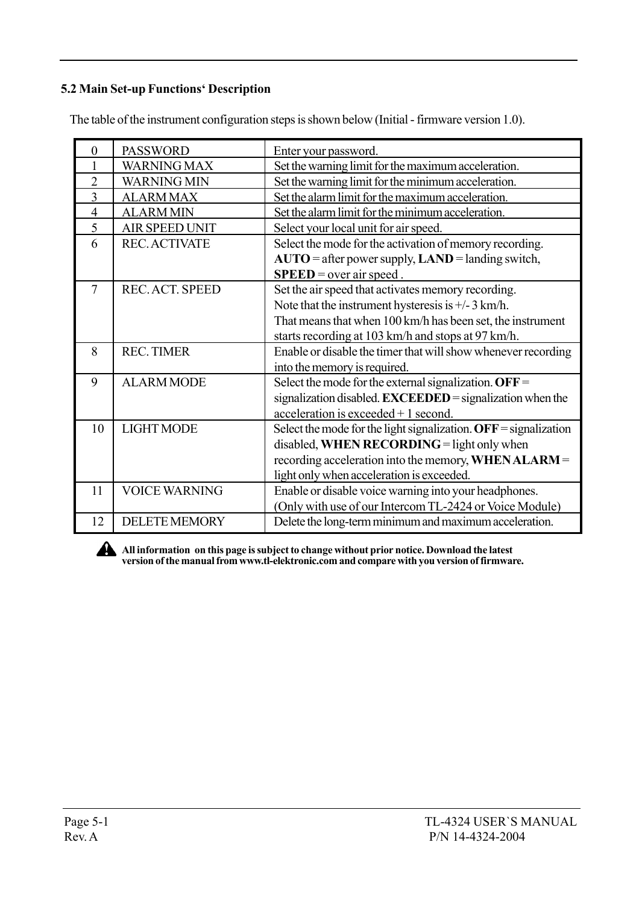### 5.2 Main Set-up Functions' Description

The table of the instrument configuration steps is shown below (Initial - firmware version 1.0).

| $\overline{0}$ | <b>PASSWORD</b>        | Enter your password.                                                              |
|----------------|------------------------|-----------------------------------------------------------------------------------|
|                | <b>WARNING MAX</b>     | Set the warning limit for the maximum acceleration.                               |
| $\overline{2}$ | <b>WARNING MIN</b>     | Set the warning limit for the minimum acceleration.                               |
| $\overline{3}$ | <b>ALARMMAX</b>        | Set the alarm limit for the maximum acceleration.                                 |
| $\overline{4}$ | <b>ALARMMIN</b>        | Set the alarm limit for the minimum acceleration.                                 |
| 5              | <b>AIR SPEED UNIT</b>  | Select your local unit for air speed.                                             |
| 6              | <b>REC. ACTIVATE</b>   | Select the mode for the activation of memory recording.                           |
|                |                        | $AUTO = after power supply, LAND = landing switch,$<br>$SPEED = over air speed$ . |
| $\overline{7}$ | <b>REC. ACT. SPEED</b> | Set the air speed that activates memory recording.                                |
|                |                        | Note that the instrument hysteresis is $\pm$ /-3 km/h.                            |
|                |                        | That means that when 100 km/h has been set, the instrument                        |
|                |                        | starts recording at 103 km/h and stops at 97 km/h.                                |
| 8              | <b>REC. TIMER</b>      | Enable or disable the timer that will show whenever recording                     |
|                |                        | into the memory is required.                                                      |
| 9              | <b>ALARM MODE</b>      | Select the mode for the external signalization. $\text{OFF} =$                    |
|                |                        | signalization disabled. <b>EXCEEDED</b> = signalization when the                  |
|                |                        | $acceleration$ is exceeded + 1 second.                                            |
| 10             | <b>LIGHT MODE</b>      | Select the mode for the light signalization. $\text{OFF} =$ signalization         |
|                |                        | disabled, WHEN RECORDING = light only when                                        |
|                |                        | recording acceleration into the memory, WHEN ALARM =                              |
|                |                        | light only when acceleration is exceeded.                                         |
| 11             | <b>VOICE WARNING</b>   | Enable or disable voice warning into your headphones.                             |
|                |                        | (Only with use of our Intercom TL-2424 or Voice Module)                           |
| 12             | <b>DELETE MEMORY</b>   | Delete the long-term minimum and maximum acceleration.                            |



All information on this page is subject to change without prior notice. Download the latest version of the manual from www.tl-elektronic.com and compare with you version of firmware.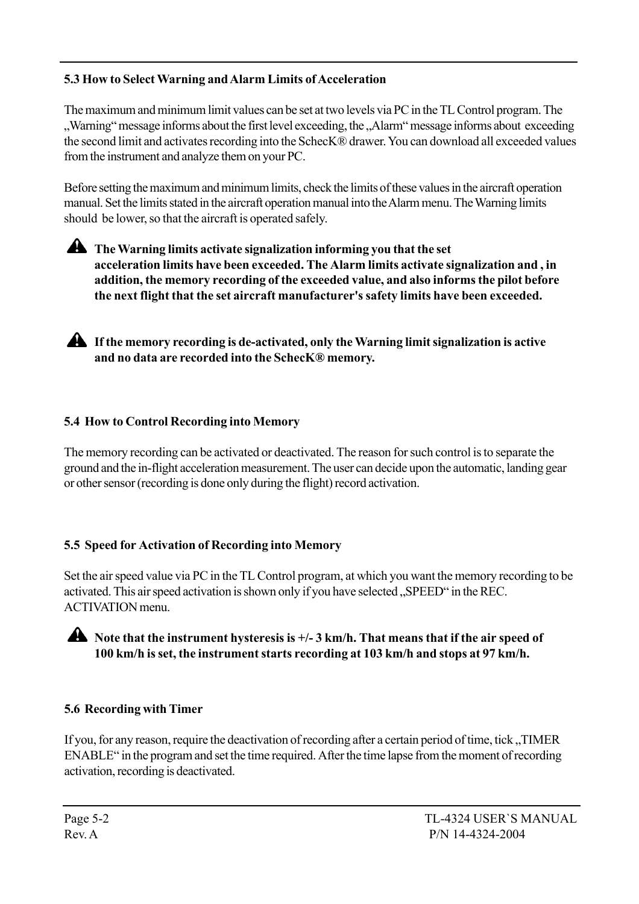## 5.3 How to Select Warning and Alarm Limits of Acceleration

The maximum and minimum limit values can be set at two levels via PC in the TL Control program. The Warning" message informs about the first level exceeding, the "Alarm" message informs about exceeding the second limit and activates recording into the SchecKÆ drawer. You can download all exceeded values from the instrument and analyze them on your PC.

Before setting the maximum and minimum limits, check the limits of these values in the aircraft operation manual. Set the limits stated in the aircraft operation manual into the Alarm menu. The Warning limits should be lower, so that the aircraft is operated safely.

The Warning limits activate signalization informing you that the set acceleration limits have been exceeded. The Alarm limits activate signalization and , in addition, the memory recording of the exceeded value, and also informs the pilot before the next flight that the set aircraft manufacturer's safety limits have been exceeded.

If the memory recording is de-activated, only the Warning limit signalization is active and no data are recorded into the SchecK® memory.

## 5.4 How to Control Recording into Memory

The memory recording can be activated or deactivated. The reason for such control is to separate the ground and the in-flight acceleration measurement. The user can decide upon the automatic, landing gear or other sensor (recording is done only during the flight) record activation.

## 5.5 Speed for Activation of Recording into Memory

Set the air speed value via PC in the TL Control program, at which you want the memory recording to be activated. This air speed activation is shown only if you have selected "SPEED" in the REC. ACTIVATION menu.



A Note that the instrument hysteresis is  $+/-3$  km/h. That means that if the air speed of 100 km/h is set, the instrument starts recording at 103 km/h and stops at 97 km/h.

## 5.6 Recording with Timer

If you, for any reason, require the deactivation of recording after a certain period of time, tick, TIMER ENABLE" in the program and set the time required. After the time lapse from the moment of recording activation, recording is deactivated.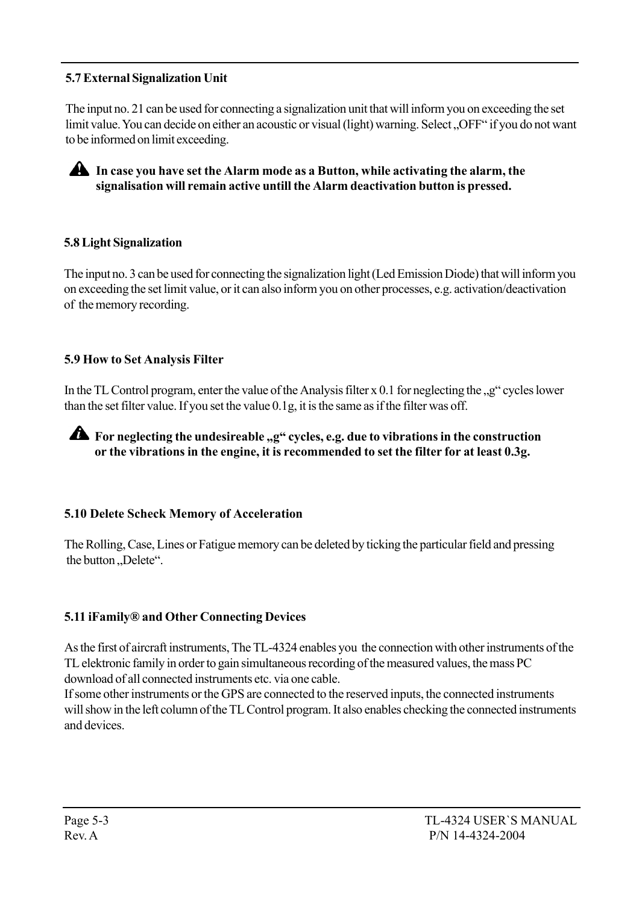## 5.7 External Signalization Unit

The input no. 21 can be used for connecting a signalization unit that will inform you on exceeding the set limit value. You can decide on either an acoustic or visual (light) warning. Select "OFF" if you do not want to be informed on limit exceeding.



#### 5.8 Light Signalization

The input no. 3 can be used for connecting the signalization light (Led Emission Diode) that will inform you on exceeding the set limit value, or it can also inform you on other processes, e.g. activation/deactivation of the memory recording.

#### 5.9 How to Set Analysis Filter

In the TL Control program, enter the value of the Analysis filter  $x$  0.1 for neglecting the  $,g<sup>0</sup>$  cycles lower than the set filter value. If you set the value 0.1g, it is the same as if the filter was off.

For neglecting the undesireable "g" cycles, e.g. due to vibrations in the construction or the vibrations in the engine, it is recommended to set the filter for at least 0.3g.

#### 5.10 Delete Scheck Memory of Acceleration

The Rolling, Case, Lines or Fatigue memory can be deleted by ticking the particular field and pressing the button "Delete".

#### 5.11 iFamily<sup>®</sup> and Other Connecting Devices

As the first of aircraft instruments, The TL-4324 enables you the connection with other instruments of the TL elektronic family in order to gain simultaneous recording of the measured values, the mass PC download of all connected instruments etc. via one cable.

If some other instruments or the GPS are connected to the reserved inputs, the connected instruments will show in the left column of the TL Control program. It also enables checking the connected instruments and devices.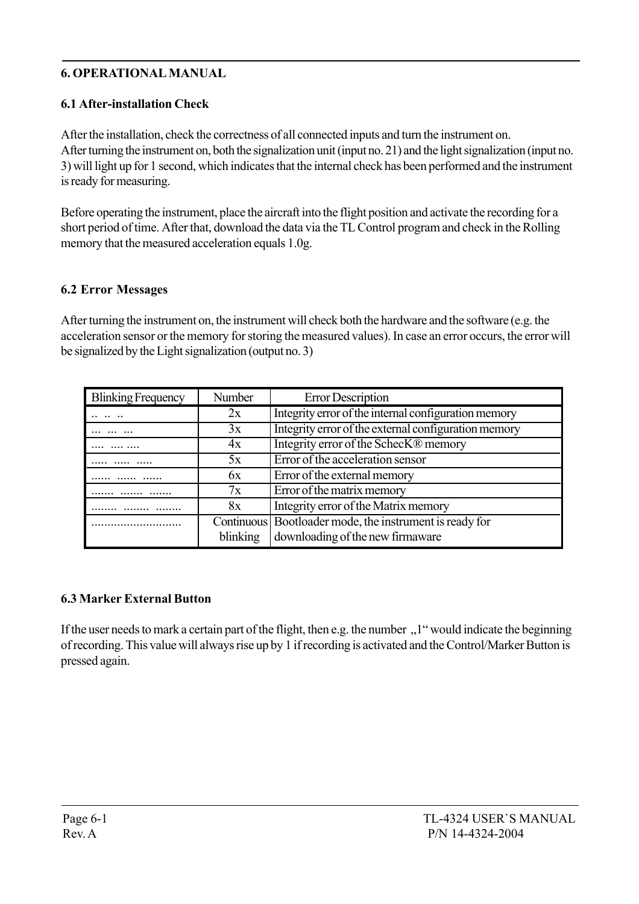## 6. OPERATIONAL MANUAL

## 6.1 After-installation Check

After the installation, check the correctness of all connected inputs and turn the instrument on. After turning the instrument on, both the signalization unit (input no. 21) and the light signalization (input no. 3) will light up for 1 second, which indicates that the internal check has been performed and the instrument is ready for measuring.

Before operating the instrument, place the aircraft into the flight position and activate the recording for a short period of time. After that, download the data via the TL Control program and check in the Rolling memory that the measured acceleration equals 1.0g.

### 6.2 Error Messages

After turning the instrument on, the instrument will check both the hardware and the software (e.g. the acceleration sensor or the memory for storing the measured values). In case an error occurs, the error will be signalized by the Light signalization (output no. 3)

| <b>Blinking Frequency</b> | Number   | <b>Error Description</b>                                                                      |
|---------------------------|----------|-----------------------------------------------------------------------------------------------|
|                           | 2x       | Integrity error of the internal configuration memory                                          |
|                           | 3x       | Integrity error of the external configuration memory                                          |
|                           | 4x       | Integrity error of the SchecK® memory                                                         |
|                           | 5x       | Error of the acceleration sensor                                                              |
|                           | 6x       | Error of the external memory                                                                  |
|                           | 7x       | Error of the matrix memory                                                                    |
|                           | 8x       | Integrity error of the Matrix memory                                                          |
|                           | blinking | Continuous   Bootloader mode, the instrument is ready for<br>downloading of the new firmaware |

## 6.3 Marker External Button

If the user needs to mark a certain part of the flight, then e.g. the number  $\lambda$ <sup>1</sup> would indicate the beginning of recording. This value will always rise up by 1 if recording is activated and the Control/Marker Button is pressed again.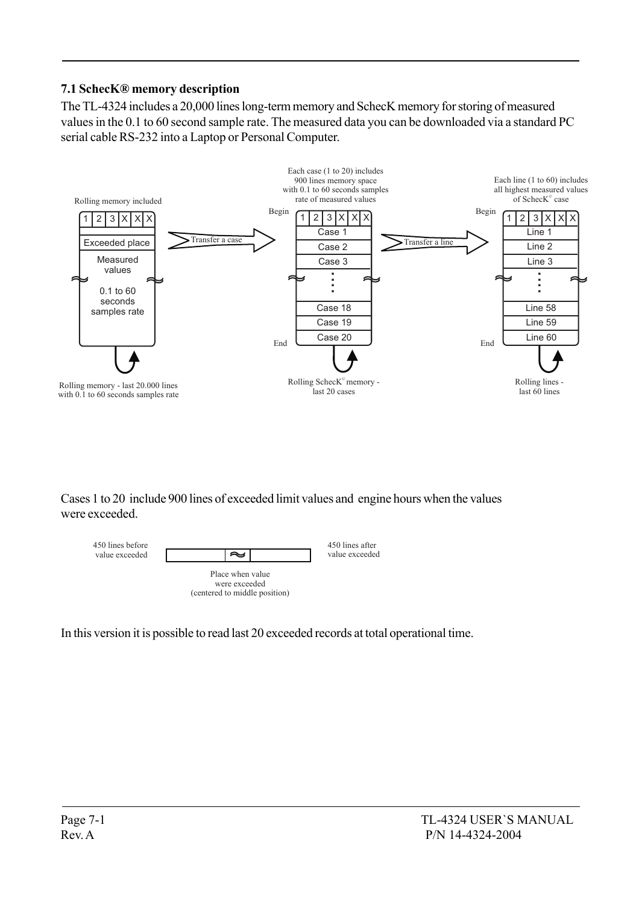## 7.1 SchecKÆ memory description

The TL-4324 includes a 20,000 lines long-term memory and SchecK memory for storing of measured values in the 0.1 to 60 second sample rate. The measured data you can be downloaded via a standard PC serial cable RS-232 into a Laptop or Personal Computer.



Cases 1 to 20 include 900 lines of exceeded limit values and engine hours when the values were exceeded.



In this version it is possible to read last 20 exceeded records at total operational time.